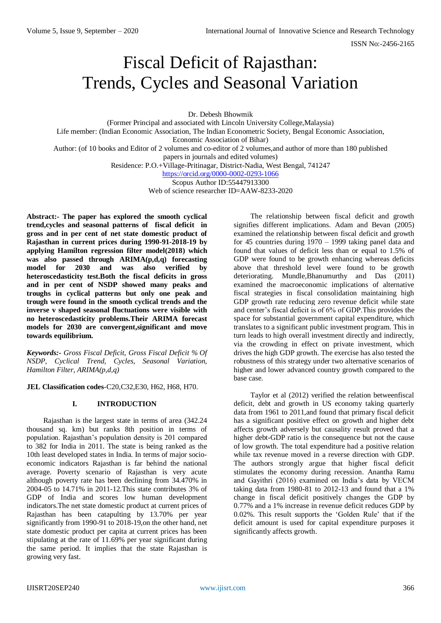# Fiscal Deficit of Rajasthan: Trends, Cycles and Seasonal Variation

Dr. Debesh Bhowmik

(Former Principal and associated with Lincoln University College,Malaysia) Life member: (Indian Economic Association, The Indian Econometric Society, Bengal Economic Association, Economic Association of Bihar) Author: (of 10 books and Editor of 2 volumes and co-editor of 2 volumes,and author of more than 180 published papers in journals and edited volumes)

Residence: P.O.+Village-Pritinagar, District-Nadia, West Bengal, 741247

<https://orcid.org/0000-0002-0293-1066>

Scopus Author ID:55447913300 Web of science researcher ID=AAW-8233-2020

**Abstract:- The paper has explored the smooth cyclical trend,cycles and seasonal patterns of fiscal deficit in gross and in per cent of net state domestic product of Rajasthan in current prices during 1990-91-2018-19 by applying Hamilton regression filter model(2018) which was also passed through ARIMA(p,d,q) forecasting model for 2030 and was also verified by heteroscedasticity test.Both the fiscal deficits in gross and in per cent of NSDP showed many peaks and troughs in cyclical patterns but only one peak and trough were found in the smooth cyclical trends and the inverse v shaped seasonal fluctuations were visible with no heteroscedasticity problems.Their ARIMA forecast models for 2030 are convergent,significant and move towards equilibrium.** 

*Keywords:- Gross Fiscal Deficit, Gross Fiscal Deficit % Of NSDP, Cyclical Trend, Cycles, Seasonal Variation, Hamilton Filter, ARIMA(p,d,q)*

**JEL Classification codes**-C20,C32,E30, H62, H68, H70.

## **I. INTRODUCTION**

Rajasthan is the largest state in terms of area (342.24 thousand sq. km) but ranks 8th position in terms of population. Rajasthan's population density is 201 compared to 382 for India in 2011. The state is being ranked as the 10th least developed states in India. In terms of major socioeconomic indicators Rajasthan is far behind the national average. Poverty scenario of Rajasthan is very acute although poverty rate has been declining from 34.470% in 2004-05 to 14.71% in 2011-12.This state contributes 3% of GDP of India and scores low human development indicators.The net state domestic product at current prices of Rajasthan has been catapulting by 13.70% per year significantly from 1990-91 to 2018-19,on the other hand, net state domestic product per capita at current prices has been stipulating at the rate of 11.69% per year significant during the same period. It implies that the state Rajasthan is growing very fast.

The relationship between fiscal deficit and growth signifies different implications. Adam and Bevan (2005) examined the relationship between fiscal deficit and growth for 45 countries during 1970 – 1999 taking panel data and found that values of deficit less than or equal to 1.5% of GDP were found to be growth enhancing whereas deficits above that threshold level were found to be growth deteriorating. Mundle,Bhanumurthy and Das (2011) examined the macroeconomic implications of alternative fiscal strategies in fiscal consolidation maintaining high GDP growth rate reducing zero revenue deficit while state and center's fiscal deficit is of 6% of GDP.This provides the space for substantial government capital expenditure, which translates to a significant public investment program. This in turn leads to high overall investment directly and indirectly, via the crowding in effect on private investment, which drives the high GDP growth. The exercise has also tested the robustness of this strategy under two alternative scenarios of higher and lower advanced country growth compared to the base case.

Taylor et al (2012) verified the relation betweenfiscal deficit, debt and growth in US economy taking quarterly data from 1961 to 2011,and found that primary fiscal deficit has a significant positive effect on growth and higher debt affects growth adversely but causality result proved that a higher debt-GDP ratio is the consequence but not the cause of low growth. The total expenditure had a positive relation while tax revenue moved in a reverse direction with GDP. The authors strongly argue that higher fiscal deficit stimulates the economy during recession. Anantha Ramu and Gayithri (2016) examined on India's data by VECM taking data from 1980-81 to 2012-13 and found that a 1% change in fiscal deficit positively changes the GDP by 0.77% and a 1% increase in revenue deficit reduces GDP by 0.02%. This result supports the 'Golden Rule' that if the deficit amount is used for capital expenditure purposes it significantly affects growth.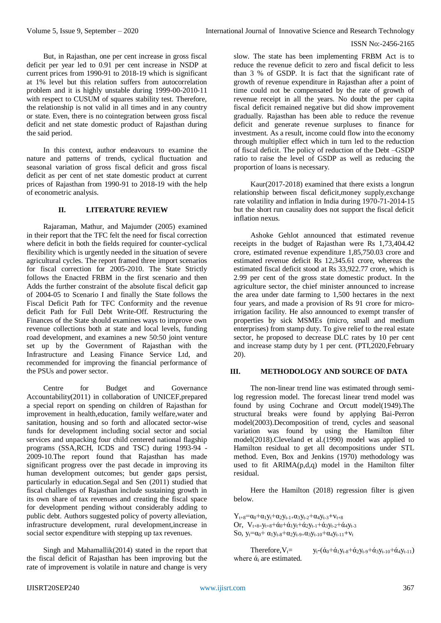But, in Rajasthan, one per cent increase in gross fiscal deficit per year led to 0.91 per cent increase in NSDP at current prices from 1990-91 to 2018-19 which is significant at 1% level but this relation suffers from autocorrelation problem and it is highly unstable during 1999-00-2010-11 with respect to CUSUM of squares stability test. Therefore, the relationship is not valid in all times and in any country or state. Even, there is no cointegration between gross fiscal deficit and net state domestic product of Rajasthan during the said period.

In this context, author endeavours to examine the nature and patterns of trends, cyclical fluctuation and seasonal variation of gross fiscal deficit and gross fiscal deficit as per cent of net state domestic product at current prices of Rajasthan from 1990-91 to 2018-19 with the help of econometric analysis.

### **II. LITERATURE REVIEW**

Rajaraman, Mathur, and Majumder (2005) examined in their report that the TFC felt the need for fiscal correction where deficit in both the fields required for counter-cyclical flexibility which is urgently needed in the situation of severe agricultural cycles. The report framed three import scenarios for fiscal correction for 2005-2010. The State Strictly follows the Enacted FRBM in the first scenario and then Adds the further constraint of the absolute fiscal deficit gap of 2004-05 to Scenario I and finally the State follows the Fiscal Deficit Path for TFC Conformity and the revenue deficit Path for Full Debt Write-Off. Restructuring the Finances of the State should examines ways to improve own revenue collections both at state and local levels, funding road development, and examines a new 50:50 joint venture set up by the Government of Rajasthan with the Infrastructure and Leasing Finance Service Ltd, and recommended for improving the financial performance of the PSUs and power sector.

Centre for Budget and Governance Accountability(2011) in collaboration of UNICEF,prepared a special report on spending on children of Rajasthan for improvement in health,education, family welfare,water and sanitation, housing and so forth and allocated sector-wise funds for development including social sector and social services and unpacking four child centered national flagship programs (SSA,RCH, ICDS and TSC) during 1993-94 - 2009-10.The report found that Rajasthan has made significant progress over the past decade in improving its human development outcomes; but gender gaps persist, particularly in education.Segal and Sen (2011) studied that fiscal challenges of Rajasthan include sustaining growth in its own share of tax revenues and creating the fiscal space for development pending without considerably adding to public debt. Authors suggested policy of poverty alleviation, infrastructure development, rural development,increase in social sector expenditure with stepping up tax revenues.

Singh and Mahamallik(2014) stated in the report that the fiscal deficit of Rajasthan has been improving but the rate of improvement is volatile in nature and change is very

slow. The state has been implementing FRBM Act is to reduce the revenue deficit to zero and fiscal deficit to less than 3 % of GSDP. It is fact that the significant rate of growth of revenue expenditure in Rajasthan after a point of time could not be compensated by the rate of growth of revenue receipt in all the years. No doubt the per capita fiscal deficit remained negative but did show improvement gradually. Rajasthan has been able to reduce the revenue deficit and generate revenue surpluses to finance for investment. As a result, income could flow into the economy through multiplier effect which in turn led to the reduction of fiscal deficit. The policy of reduction of the Debt –GSDP ratio to raise the level of GSDP as well as reducing the proportion of loans is necessary.

Kaur(2017-2018) examined that there exists a longrun relationship between fiscal deficit,money supply,exchange rate volatility and inflation in India during 1970-71-2014-15 but the short run causality does not support the fiscal deficit inflation nexus.

Ashoke Gehlot announced that estimated revenue receipts in the budget of Rajasthan were Rs 1,73,404.42 crore, estimated revenue expenditure 1,85,750.03 crore and estimated revenue deficit Rs 12,345.61 crore, whereas the estimated fiscal deficit stood at Rs 33,922.77 crore, which is 2.99 per cent of the gross state domestic product. In the agriculture sector, the chief minister announced to increase the area under date farming to 1,500 hectares in the next four years, and made a provision of Rs 91 crore for microirrigation facility. He also announced to exempt transfer of properties by sick MSMEs (micro, small and medium enterprises) from stamp duty. To give relief to the real estate sector, he proposed to decrease DLC rates by 10 per cent and increase stamp duty by 1 per cent. (PTI,2020,February 20).

#### **III. METHODOLOGY AND SOURCE OF DATA**

The non-linear trend line was estimated through semilog regression model. The forecast linear trend model was found by using Cochrane and Orcutt model(1949).The structural breaks were found by applying Bai-Perron model(2003).Decomposition of trend, cycles and seasonal variation was found by using the Hamilton filter model(2018).Cleveland et al.(1990) model was applied to Hamilton residual to get all decompositions under STL method. Even, Box and Jenkins (1970) methodology was used to fit  $ARIMA(p,d,q)$  model in the Hamilton filter residual.

Here the Hamilton (2018) regression filter is given below.

 $Y_{t+8} = \alpha_0 + \alpha_1 y_t + \alpha_2 y_{t-1+} \alpha_3 y_{t-2} + \alpha_4 y_{t-3} + v_{t+8}$ Or,  $V_{t+8=V_{t+8}}+\acute{\alpha}_{0}+\acute{\alpha}_{1}y_{t}+\acute{\alpha}_{2}y_{t-1}+\acute{\alpha}_{3}y_{t-2}+\acute{\alpha}_{4}y_{t-3}$ So,  $y_t = \alpha_0 + \alpha_1 y_{t-8} + \alpha_2 y_{t-9} + \alpha_3 y_{t-10} + \alpha_4 y_{t-11} + y_t$ 

Therefore,  $V_t = V_t - (\dot{\alpha}_0 + \dot{\alpha}_1 y_{t-8} + \dot{\alpha}_2 y_{t-9} + \dot{\alpha}_3 y_{t-10} + \dot{\alpha}_4 y_{t-11})$ where  $\dot{\alpha}_i$  are estimated.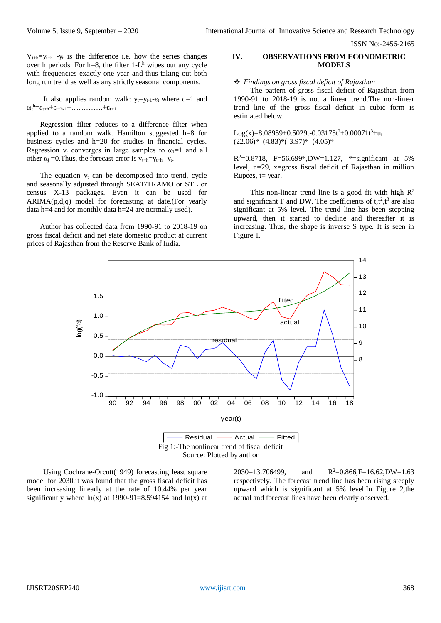$V_{t+h}=y_{t+h}$  -y<sub>t</sub> is the difference i.e. how the series changes over h periods. For  $h=8$ , the filter  $1-L<sup>h</sup>$  wipes out any cycle with frequencies exactly one year and thus taking out both long run trend as well as any strictly seasonal components.

It also applies random walk:  $y_t = y_{t-1} - \varepsilon_t$  where d=1 and  $\omega_t^{\,h} = \varepsilon_{t+h} + \varepsilon_{t+h-1} + \ldots + \varepsilon_{t+1}$ 

Regression filter reduces to a difference filter when applied to a random walk. Hamilton suggested h=8 for business cycles and h=20 for studies in financial cycles. Regression  $v_t$  converges in large samples to  $\alpha_1=1$  and all other  $\alpha_i = 0$ . Thus, the forecast error is  $v_{t+h} = v_{t+h} - v_t$ .

The equation  $v_t$  can be decomposed into trend, cycle and seasonally adjusted through SEAT/TRAMO or STL or census X-13 packages. Even it can be used for ARIMA(p,d,q) model for forecasting at date.(For yearly data h=4 and for monthly data h=24 are normally used).

Author has collected data from 1990-91 to 2018-19 on gross fiscal deficit and net state domestic product at current prices of Rajasthan from the Reserve Bank of India.

### **IV. OBSERVATIONS FROM ECONOMETRIC MODELS**

#### *Findings on gross fiscal deficit of Rajasthan*

The pattern of gross fiscal deficit of Rajasthan from 1990-91 to 2018-19 is not a linear trend.The non-linear trend line of the gross fiscal deficit in cubic form is estimated below.

 $Log(x)=8.08959+0.5029t-0.03175t^2+0.00071t^3+u_i$  $(22.06)^*$   $(4.83)^*(-3.97)^*$   $(4.05)^*$ 

 $R^2 = 0.8718$ , F=56.699\*,DW=1.127, \*=significant at 5% level, n=29, x=gross fiscal deficit of Rajasthan in million Rupees,  $t = year$ .

This non-linear trend line is a good fit with high  $\mathbb{R}^2$ and significant F and DW. The coefficients of  $t, t^2, t^3$  are also significant at 5% level. The trend line has been stepping upward, then it started to decline and thereafter it is increasing. Thus, the shape is inverse S type. It is seen in Figure 1.



Using Cochrane-Orcutt(1949) forecasting least square model for 2030,it was found that the gross fiscal deficit has been increasing linearly at the rate of 10.44% per year significantly where  $ln(x)$  at 1990-91=8.594154 and  $ln(x)$  at 2030=13.706499, and  $R^2=0.866$ , F=16.62, DW=1.63 respectively. The forecast trend line has been rising steeply upward which is significant at 5% level.In Figure 2,the actual and forecast lines have been clearly observed.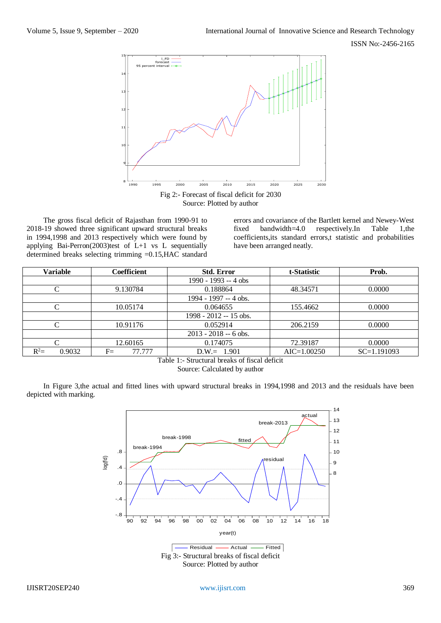

The gross fiscal deficit of Rajasthan from 1990-91 to 2018-19 showed three significant upward structural breaks in 1994,1998 and 2013 respectively which were found by applying Bai-Perron(2003)test of  $L+1$  vs L sequentially determined breaks selecting trimming =0.15,HAC standard

errors and covariance of the Bartlett kernel and Newey-West<br>fixed bandwidth=4.0 respectively.In Table 1,the fixed bandwidth=4.0 respectively.In Table 1,the coefficients,its standard errors,t statistic and probabilities have been arranged neatly.

| <b>Variable</b>    | Coefficient    | <b>Std. Error</b>       | t-Statistic     | Prob.         |  |
|--------------------|----------------|-------------------------|-----------------|---------------|--|
|                    |                | 1990 - 1993 -- 4 obs    |                 |               |  |
| C                  | 9.130784       | 0.188864                | 48.34571        | 0.0000        |  |
|                    |                | 1994 - 1997 -- 4 obs.   |                 |               |  |
| C                  | 10.05174       | 0.064655                | 155.4662        | 0.0000        |  |
|                    |                | $1998 - 2012 - 15$ obs. |                 |               |  |
| $\curvearrowright$ | 10.91176       | 0.052914                | 206.2159        | 0.0000        |  |
|                    |                | $2013 - 2018 - 6$ obs.  |                 |               |  |
| C                  | 12.60165       | 0.174075                | 72.39187        | 0.0000        |  |
| $R^2=$<br>0.9032   | $F=$<br>77.777 | $D.W. = 1.901$          | $AIC = 1.00250$ | $SC=1.191093$ |  |

Table 1:- Structural breaks of fiscal deficit

Source: Calculated by author

In Figure 3,the actual and fitted lines with upward structural breaks in 1994,1998 and 2013 and the residuals have been depicted with marking.

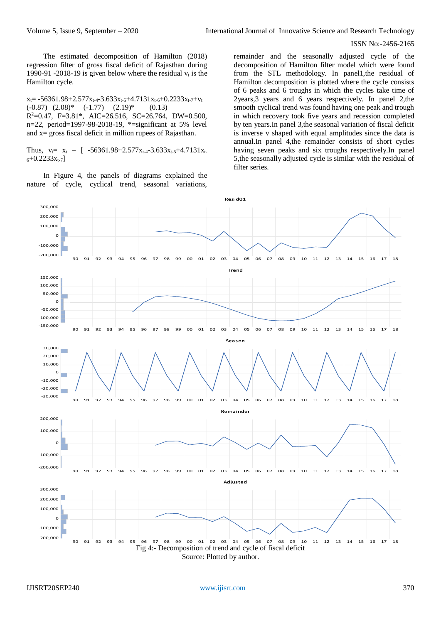The estimated decomposition of Hamilton (2018) regression filter of gross fiscal deficit of Rajasthan during 1990-91 -2018-19 is given below where the residual  $v_t$  is the Hamilton cycle.

 $x_t = -56361.98 + 2.577x_{t-4} - 3.633x_{t-5} + 4.7131x_{t-6} + 0.2233x_{t-7} + v_t$  $(-0.87)$   $(2.08)^*$   $(-1.77)$   $(2.19)^*$   $(0.13)$ R <sup>2</sup>=0.47, F=3.81\*, AIC=26.516, SC=26.764, DW=0.500, n=22, period=1997-98-2018-19, \*=significant at 5% level and  $x =$  gross fiscal deficit in million rupees of Rajasthan.

Thus,  $v_t = x_t - \int$  -56361.98+2.577 $x_{t-4}$ -3.633 $x_{t-5}$ +4.7131 $x_t$  $6+0.2233x_{t-7}$ ]

In Figure 4, the panels of diagrams explained the nature of cycle, cyclical trend, seasonal variations,

remainder and the seasonally adjusted cycle of the decomposition of Hamilton filter model which were found from the STL methodology. In panel1,the residual of Hamilton decomposition is plotted where the cycle consists of 6 peaks and 6 troughs in which the cycles take time of 2years,3 years and 6 years respectively. In panel 2,the smooth cyclical trend was found having one peak and trough in which recovery took five years and recession completed by ten years.In panel 3,the seasonal variation of fiscal deficit is inverse v shaped with equal amplitudes since the data is annual.In panel 4,the remainder consists of short cycles having seven peaks and six troughs respectively.In panel 5,the seasonally adjusted cycle is similar with the residual of filter series.

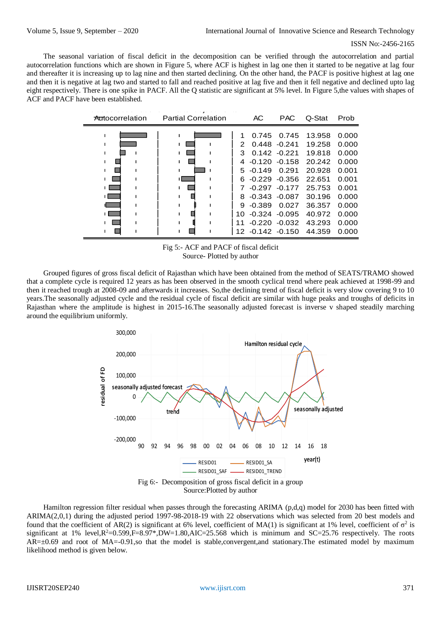The seasonal variation of fiscal deficit in the decomposition can be verified through the autocorrelation and partial autocorrelation functions which are shown in Figure 5, where ACF is highest in lag one then it started to be negative at lag four and thereafter it is increasing up to lag nine and then started declining. On the other hand, the PACF is positive highest at lag one and then it is negative at lag two and started to fall and reached positive at lag five and then it fell negative and declined upto lag eight respectively. There is one spike in PACF. All the Q statistic are significant at 5% level. In Figure 5,the values with shapes of ACF and PACF have been established.



Fig 5:- ACF and PACF of fiscal deficit Source- Plotted by author

Grouped figures of gross fiscal deficit of Rajasthan which have been obtained from the method of SEATS/TRAMO showed that a complete cycle is required 12 years as has been observed in the smooth cyclical trend where peak achieved at 1998-99 and then it reached trough at 2008-09 and afterwards it increases. So,the declining trend of fiscal deficit is very slow covering 9 to 10 years.The seasonally adjusted cycle and the residual cycle of fiscal deficit are similar with huge peaks and troughs of deficits in Rajasthan where the amplitude is highest in 2015-16.The seasonally adjusted forecast is inverse v shaped steadily marching around the equilibrium uniformly.



Hamilton regression filter residual when passes through the forecasting ARIMA (p,d,q) model for 2030 has been fitted with ARIMA(2,0,1) during the adjusted period 1997-98-2018-19 with 22 observations which was selected from 20 best models and found that the coefficient of AR(2) is significant at 6% level, coefficient of MA(1) is significant at 1% level, coefficient of  $\sigma^2$  is significant at 1% level, $R^2$ =0.599,F=8.97\*,DW=1.80,AIC=25.568 which is minimum and SC=25.76 respectively. The roots  $AR=\pm 0.69$  and root of MA=-0.91,so that the model is stable,convergent,and stationary. The estimated model by maximum likelihood method is given below.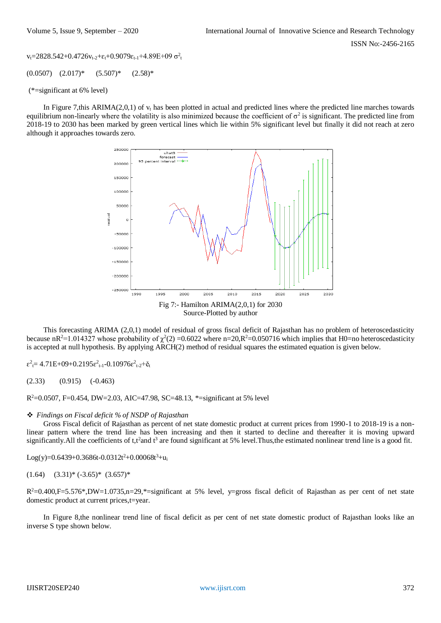$v_t = 2828.542 + 0.4726v_{t-2} + \varepsilon_t + 0.9079\varepsilon_{t-1} + 4.89E + 09 \sigma_t^2$ 

 $(0.0507)$   $(2.017)^*$   $(5.507)^*$   $(2.58)^*$ 

(\*=significant at 6% level)

In Figure 7,this ARIMA(2,0,1) of  $v_t$  has been plotted in actual and predicted lines where the predicted line marches towards equilibrium non-linearly where the volatility is also minimized because the coefficient of  $\sigma^2$  is significant. The predicted line from 2018-19 to 2030 has been marked by green vertical lines which lie within 5% significant level but finally it did not reach at zero although it approaches towards zero.



This forecasting ARIMA (2,0,1) model of residual of gross fiscal deficit of Rajasthan has no problem of heteroscedasticity because nR<sup>2</sup>=1.014327 whose probability of  $\chi^2(2)$  =0.6022 where n=20,R<sup>2</sup>=0.050716 which implies that H0=no heteroscedasticity is accepted at null hypothesis. By applying ARCH(2) method of residual squares the estimated equation is given below.

 $\varepsilon^2$ <sub>t</sub> = 4.71E+09+0.2195 $\varepsilon^2$ <sub>t-1</sub>-0.10976 $\varepsilon^2$ <sub>t-2</sub>+ $\varepsilon$ <sub>t</sub>

 $(2.33)$   $(0.915)$   $(-0.463)$ 

R<sup>2</sup>=0.0507, F=0.454, DW=2.03, AIC=47.98, SC=48.13, \*=significant at 5% level

## *Findings on Fiscal deficit % of NSDP of Rajasthan*

Gross Fiscal deficit of Rajasthan as percent of net state domestic product at current prices from 1990-1 to 2018-19 is a nonlinear pattern where the trend line has been increasing and then it started to decline and thereafter it is moving upward significantly. All the coefficients of t,t<sup>2</sup> and t<sup>3</sup> are found significant at 5% level. Thus, the estimated nonlinear trend line is a good fit.

Log(y)=0.6439+0.3686t-0.0312t<sup>2</sup>+0.00068t<sup>3</sup>+u<sub>i</sub>

$$
(1.64) \quad (3.31)^* \; (-3.65)^* \; (3.657)^*
$$

 $R^2$ =0.400,F=5.576\*,DW=1.0735,n=29,\*=significant at 5% level, y=gross fiscal deficit of Rajasthan as per cent of net state domestic product at current prices,t=year.

In Figure 8,the nonlinear trend line of fiscal deficit as per cent of net state domestic product of Rajasthan looks like an inverse S type shown below.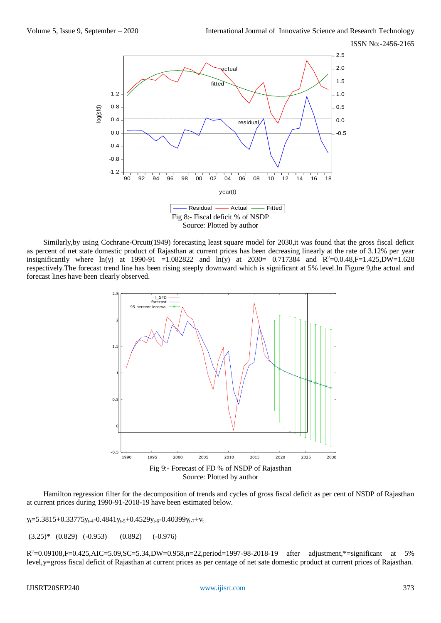

Similarly,by using Cochrane-Orcutt(1949) forecasting least square model for 2030,it was found that the gross fiscal deficit as percent of net state domestic product of Rajasthan at current prices has been decreasing linearly at the rate of 3.12% per year insignificantly where  $ln(y)$  at 1990-91 =1.082822 and  $ln(y)$  at 2030= 0.717384 and R<sup>2</sup>=0.0.48,F=1.425,DW=1.628 respectively.The forecast trend line has been rising steeply downward which is significant at 5% level.In Figure 9,the actual and forecast lines have been clearly observed.



Hamilton regression filter for the decomposition of trends and cycles of gross fiscal deficit as per cent of NSDP of Rajasthan at current prices during 1990-91-2018-19 have been estimated below.

y<sub>t</sub>=5.3815+0.33775y<sub>t-4</sub>-0.4841y<sub>t-5</sub>+0.4529y<sub>t-6</sub>-0.40399y<sub>t-7</sub>+v<sub>t</sub>

 $(3.25)*$   $(0.829)$   $(-0.953)$   $(0.892)$   $(-0.976)$ 

R <sup>2</sup>=0.09108,F=0.425,AIC=5.09,SC=5.34,DW=0.958,n=22,period=1997-98-2018-19 after adjustment,\*=significant at 5% level,y=gross fiscal deficit of Rajasthan at current prices as per centage of net sate domestic product at current prices of Rajasthan.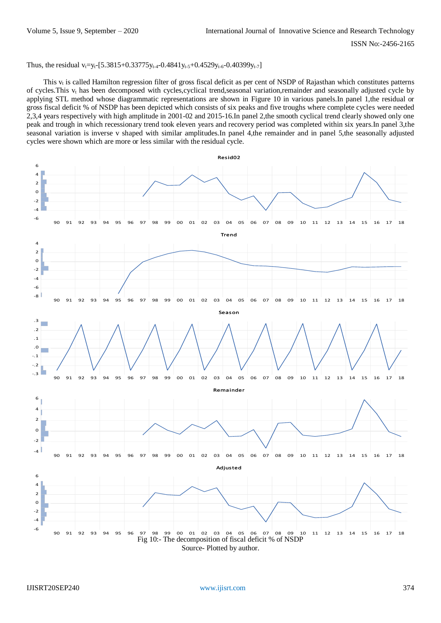Thus, the residual v<sub>t</sub>=y<sub>t</sub>-[5.3815+0.33775y<sub>t-4</sub>-0.4841y<sub>t-5</sub>+0.4529y<sub>t-6</sub>-0.40399y<sub>t-7</sub>]

This  $v_t$  is called Hamilton regression filter of gross fiscal deficit as per cent of NSDP of Rajasthan which constitutes patterns of cycles. This  $v_t$  has been decomposed with cycles, cyclical trend, seasonal variation, remainder and seasonally adjusted cycle by applying STL method whose diagrammatic representations are shown in Figure 10 in various panels.In panel 1,the residual or gross fiscal deficit % of NSDP has been depicted which consists of six peaks and five troughs where complete cycles were needed 2,3,4 years respectively with high amplitude in 2001-02 and 2015-16.In panel 2,the smooth cyclical trend clearly showed only one peak and trough in which recessionary trend took eleven years and recovery period was completed within six years.In panel 3,the seasonal variation is inverse v shaped with similar amplitudes.In panel 4,the remainder and in panel 5,the seasonally adjusted cycles were shown which are more or less similar with the residual cycle.

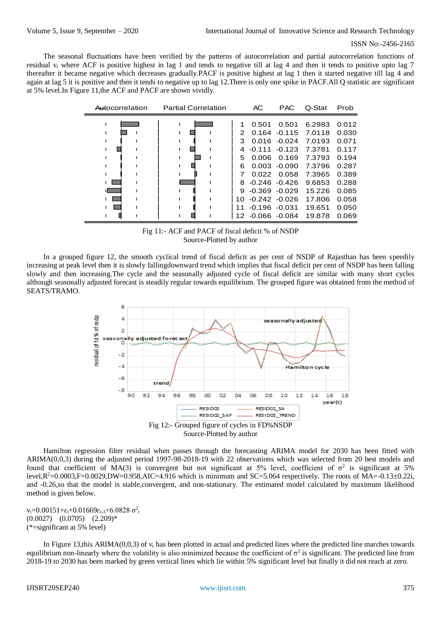The seasonal fluctuations have been verified by the patterns of autocorrelation and partial autocorrelation functions of residual  $v_t$  where ACF is positive highest in lag 1 and tends to negative till at lag 4 and then it tends to positive upto lag 7 thereafter it became negative which decreases gradually.PACF is positive highest at lag 1 then it started negative till lag 4 and again at lag 5 it is positive and then it tends to negative up to lag 12.There is only one spike in PACF.All Q statistic are significant at 5% level. In Figure 11, the ACF and PACF are shown vividly.

| Autocorrelation | <b>Partial Correlation</b> |                       | AC                                                         | <b>PAC</b>                                                                 | Q-Stat                                                                                       | Prob                                                                 |
|-----------------|----------------------------|-----------------------|------------------------------------------------------------|----------------------------------------------------------------------------|----------------------------------------------------------------------------------------------|----------------------------------------------------------------------|
|                 |                            | 2<br>з<br>4<br>5<br>6 | 0.501<br>$-0.111$<br>0.006<br>0.003<br>$8 - 0.246 - 0.426$ | 0.501<br>$0.016 - 0.024$<br>$-0.123$<br>0.169<br>$-0.090$<br>$0.022$ 0.058 | 6.2983<br>$0.164 - 0.115$ 7.0118<br>7.0193<br>7.3781<br>7.3793<br>7.3796<br>7.3965<br>9.6853 | 0.012<br>0.030<br>0.071<br>0.117<br>0.194<br>0.287<br>0.389<br>0.288 |
|                 |                            |                       | $9 - 0.369 - 0.029$                                        |                                                                            | 15.226                                                                                       | 0.085                                                                |
|                 |                            | 1 O                   |                                                            | $-0.242 - 0.026$                                                           | 17.806                                                                                       | 0.058                                                                |
|                 |                            | 11                    | $-0.196 - 0.031$<br>12 -0.066 -0.084                       |                                                                            | 19.651<br>19.878                                                                             | 0.050<br>0.069                                                       |

Fig 11:- ACF and PACF of fiscal deficit % of NSDP Source-Plotted by author

In a grouped figure 12, the smooth cyclical trend of fiscal deficit as per cent of NSDP of Rajasthan has been speedily increasing at peak level then it is slowly fallingdownward trend which implies that fiscal deficit per cent of NSDP has been falling slowly and then increasing.The cycle and the seasonally adjusted cycle of fiscal deficit are similar with many short cycles although seasonally adjusted forecast is steadily regular towards equilibrium. The grouped figure was obtained from the method of SEATS/TRAMO.



Source-Plotted by author

Hamilton regression filter residual when passes through the forecasting ARIMA model for 2030 has been fitted with ARIMA(0,0,3) during the adjusted period 1997-98-2018-19 with 22 observations which was selected from 20 best models and found that coefficient of MA(3) is convergent but not significant at 5% level, coefficient of  $\sigma^2$  is significant at 5% level, $R^2$ =0.0003,F=0.0029,DW=0.958,AIC=4.916 which is minimum and SC=5.064 respectively. The roots of  $\text{MA}$ =-0.13±0.22i, and -0.26,so that the model is stable,convergent, and non-stationary. The estimated model calculated by maximum likelihood method is given below.

v<sub>t</sub>=0.00151+ $\varepsilon$ <sub>t</sub>+0.01669 $\varepsilon$ <sub>t-3</sub>+6.0828  $\sigma^2$ <sub>t</sub>  $(0.0027)$   $(0.0705)$   $(2.209)*$ (\*=significant at 5% level)

In Figure 13,this ARIMA( $0,0,3$ ) of  $v_t$  has been plotted in actual and predicted lines where the predicted line marches towards equilibrium non-linearly where the volatility is also minimized because the coefficient of  $\sigma^2$  is significant. The predicted line from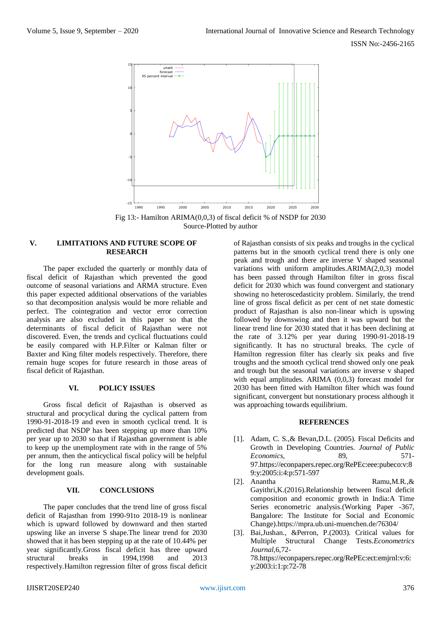

Fig 13:- Hamilton ARIMA(0,0,3) of fiscal deficit % of NSDP for 2030 Source-Plotted by author

## **V. LIMITATIONS AND FUTURE SCOPE OF RESEARCH**

The paper excluded the quarterly or monthly data of fiscal deficit of Rajasthan which prevented the good outcome of seasonal variations and ARMA structure. Even this paper expected additional observations of the variables so that decomposition analysis would be more reliable and perfect. The cointegration and vector error correction analysis are also excluded in this paper so that the determinants of fiscal deficit of Rajasthan were not discovered. Even, the trends and cyclical fluctuations could be easily compared with H.P.Filter or Kalman filter or Baxter and King filter models respectively. Therefore, there remain huge scopes for future research in those areas of fiscal deficit of Rajasthan.

## **VI. POLICY ISSUES**

Gross fiscal deficit of Rajasthan is observed as structural and procyclical during the cyclical pattern from 1990-91-2018-19 and even in smooth cyclical trend. It is predicted that NSDP has been stepping up more than 10% per year up to 2030 so that if Rajasthan government is able to keep up the unemployment rate with in the range of 5% per annum, then the anticyclical fiscal policy will be helpful for the long run measure along with sustainable development goals.

#### **VII. CONCLUSIONS**

The paper concludes that the trend line of gross fiscal deficit of Rajasthan from 1990-91to 2018-19 is nonlinear which is upward followed by downward and then started upswing like an inverse S shape.The linear trend for 2030 showed that it has been stepping up at the rate of 10.44% per year significantly.Gross fiscal deficit has three upward structural breaks in 1994,1998 and 2013 respectively.Hamilton regression filter of gross fiscal deficit

of Rajasthan consists of six peaks and troughs in the cyclical patterns but in the smooth cyclical trend there is only one peak and trough and there are inverse V shaped seasonal variations with uniform amplitudes.ARIMA(2,0,3) model has been passed through Hamilton filter in gross fiscal deficit for 2030 which was found convergent and stationary showing no heteroscedasticity problem. Similarly, the trend line of gross fiscal deficit as per cent of net state domestic product of Rajasthan is also non-linear which is upswing followed by downswing and then it was upward but the linear trend line for 2030 stated that it has been declining at the rate of 3.12% per year during 1990-91-2018-19 significantly. It has no structural breaks. The cycle of Hamilton regression filter has clearly six peaks and five troughs and the smooth cyclical trend showed only one peak and trough but the seasonal variations are inverse v shaped with equal amplitudes. ARIMA (0,0,3) forecast model for 2030 has been fitted with Hamilton filter which was found significant, convergent but nonstationary process although it was approaching towards equilibrium.

## **REFERENCES**

- [1]. Adam, C. S.,& Bevan,D.L. (2005). Fiscal Deficits and Growth in Developing Countries. *Journal of Public Economics,* 89, 571- 9[7.https://econpapers.repec.org/RePEc:eee:pubeco:v:8](https://econpapers.repec.org/RePEc:eee:pubeco:v:89:y:2005:i:4:p:571-597) [9:y:2005:i:4:p:571-597](https://econpapers.repec.org/RePEc:eee:pubeco:v:89:y:2005:i:4:p:571-597)
- [2]. Anantha Ramu, M.R., & Gayithri,K.(2016).Relationship between fiscal deficit composition and economic growth in India:A Time Series econometric analysis.(Working Paper -367, Bangalore: The Institute for Social and Economic Change[\).https://mpra.ub.uni-muenchen.](https://mpra.ub.uni-muenchen/)de/76304/
- [3]. Bai,Jushan., &Perron, P.(2003). Critical values for Multiple Structural Change Tests.*Econometrics Journal,*6,72- 7[8.https://econpapers.repec.org/RePEc:ect:emjrnl:v:6:](https://econpapers.repec.org/RePEc:ect:emjrnl:v:6:y:2003:i:1:p:72-78) [y:2003:i:1:p:72-78](https://econpapers.repec.org/RePEc:ect:emjrnl:v:6:y:2003:i:1:p:72-78)